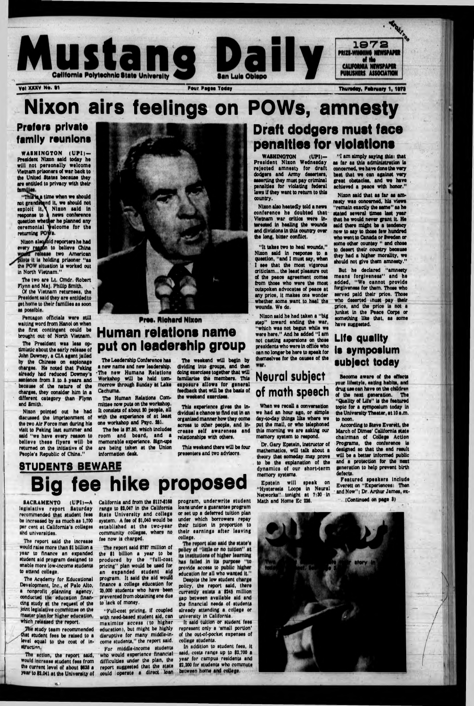

**Nixon airs feelings on POWs, amnesty**

#### **Prefers private family reunions**

**WASHINGTON (UPI)-Praaldant Nixon said today ha** will not personally welcome **Vietnam prisoners of war back to the United States because they** are entitled to privacy with their families.

"This'is a time when we should **not** grandstand **It, we should not exploit it, \ Nixon said in response to ft news conference question whether he planned any** ceremonial **velcome** for the returning **POWs**.

**Nixon slstyrold reporters he had** every reason to believe China wowld release two American **It la holding prisoner "as the POW situation Is worked out In North Vietnam ."**

**The President was less optlmistic about the early release of John Downey, a CIA agent Jailed by the Chinese on espionage charges. He noted that Peking already had reduced Downey's sentence from 3 to 6 years and because of the nature of the charges, they consider him In a different category than Flynn and Smith.**

**The two are Lt. Cmdr. Robert Flynn and MaJ. Philip Smith.**

> **Pres. Richard Nixon Human relations name**

**Of the Vietnam returnees, the President said they are entitled to get home to thalr fam ilies as soon as possible.**

**Pentagon officials wore still waiting word from Hanoi on when the first contingent could be brought out of North Vietnam .**

> The weekend will begin by **dividing Into groups, and then** doing exercises together that will **fam ilarise the members, This** exposure allows for general **feedback that w ill be the basis of the weekend exercises.**

This weekend there will be four **presenters and two advisors.**

**SACRAMENTO (UPI)-A** legislative report Saturday **recommended that student fees bo Increased by as much as 1,700 per cent at California's colleges and universities.**

**Nixon pointed out he had discussed the Imprisonment of** the two Air Force men during his **visit to Peking last summer and said "wo have every reason to believe** these flyers will be **returned on the initiative of the People's Republic of China."**

**STUDENTS BEWARE** 



# **Draft dodgers must face penalties for violations**

**The study team recommended Chat student fees be raised to a level equal to the cost of In-level structing**

**put on leadership group**

**The Leadership Conference has a new name and new leadership. 'The new Humans Relations** Workshop will be held tom**morrow through Sunday at Lake Cachuma.**

**The Human Relations Comm ittee now puts on the workshop. It consists of about 30 people, all with the experience of at least one workshop and Psyc. 201.**

**The report said \$787 million of the 91 billion a year to be** produced by the "full-cost **pricing" plan would be used for an expanded student sid program. It said the aid would finance a college education for 26,000 students who have been prevented from obtaining one due to lack of money.**

**The fee Is 97.00, which Includes room and board, and a memorable experience. Sign-ups are being taken at the Union Information doak.**

**This experience gives the Individual a chance to find out In an organised manner how they come across to other people, and Increase self awareness and relationships with others.**

# **Big fee hike proposed**

policy of "little or no tuition" at its institutions of higher learning has failed in its purpose "to **provide access to education for all who wan Despite the low student policy, the report said, there** currently exists a \$245 million **gap between available aid and the financial needs of students already attending a college or university In California.**

**The report said the Increase would raise more than |1 billion a year to finance an expanded student aid program designed to enable more low-income students to sttond college,**

**The Acqdomy for Educational Development, Inc., of Palo Alto, a nonprofit planning agency, conducted tin- education financing study at the request of the Joint legislative committee on the maator plan for higher education, which.released the report.**

Dr. Gary Epstein, instructor of **mathematics, w ill talk about a theory that someday may prove to bo the explanation of the dynam ics of our short-term memory systems.**

**The action, the report said, would increase student fees from the current level of about 9639 a year to 93,041 at the University of** **California and from the 91174166 range to 92,047 In the California State University and college system. A fee of 91,040 would be** established at the two-year **community colleges, where no fee now Is charged.**

**"Full-cost pricing, If coupled with need-based student aid, can m axim ise access (to higher education), but might be highly disruptive for many middle-income students," the report said, For middle-income students**

**who would experience financial difficulties under the plan, the report suggested that the state could operate a direct loan** program, underwrite student **loans under a guarantee program or set up a deferred tuition plan under which borrowers repay their tuition In proportion to** their earnings after leaving college.<br>The report also said the state's

**WAIHINGTON (UPI)- Presldent Nixon Wednesday** rejected amnesty for draft dodgers and Army deserters, **asserting they must pay crim inal penalties for violating federal laws If they want to return to this country.**

**Nixon also heatedly told a news** conference he doubted that **Vietnam war critics were Interested In healing the wounds and divisions In this oountry over the long, bitter conflict.**

**" It takes two to heal wounds," Nixon said In response to a question, "and I must say, when I see that the most vigorous criticism ... the least pleasure out of the peace agreement comes from those who were the most outspoken advocates of peace at any price, lt makes one wonder whether some want to heal the We do.**

**Nixon said he had taken a "big** step" toward ending the war, **"which was not begun while we were here." And he added " I am not casting aspersions on those presidents who wore In office who can no longer be here to speak for themselves for the causes of the**

**It said tuition or student fees represent only a 'small portion' of the out-of-pocket expenses of college students.**

**In addition to student foes, It said, costs range up to 92,700 a year for campus residents and 92,200 for students who commute between home and college.**

## **Neural subject of math speech**

**When we recall a conversation wo had an hour ago, or simple day-to-day things like where we** put the mail, or who telephoned **this morning we are asking our memory system to respond.**

**Epstein w ill speak on "Hysteresis Loops In Neural Networks" tonight at 7:30 In Math and Home Ec 226.**



**" I am simply saying this: that as tar as this administration la concerned, we have done the very best that we can against very** great obstacles, and we have **achieved a peace with honor."**

**Nixon said that as far as am nesty was concerned, his views "rem ain exactly the same" as he stated several times last year** that he would never grant it. He **said there might be a tendency now to say to thoae few hundred who went to Canada or Sweden or some other countey " and chose to desert their country because** they had a higher morality, we **should not give them amnesty."**

**But he declared "amnesty moans forgiveness" and he** added, "We cannot provide **forgiveness for them. Those who served paid their price. Those who deserted must pay their prlco, and the price Is not a Junket In the Peace Corps or something like that, as some have suggested.**

#### **Life quality is symposium subject today**

**Become aware of the effects** your lifestyle, eating habits, and **ck-ug use can have on the** children **of the next generation. The "Quality of Life" Is the featured topic for a symposium today In the University Theater, at 10 a.m . to noon.**

**According to Steve Everett, the March of Dimes' California state chairm an of College Action Programs, the conference Is designed so that the end result** will be a better informed public **and a protection for the next generation to holp prevent birth defects. Featured speakers include Everett on "Experiences: Then - and Now"i Dr. Arthur James, ex- -x (Continued on page 9)**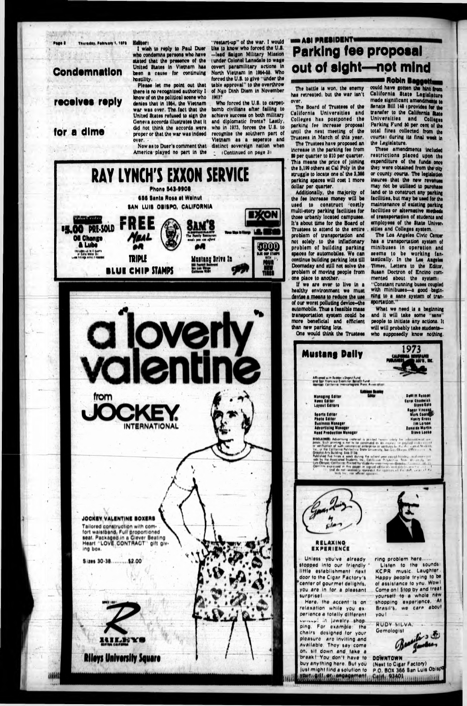Page 8 Thursday, February 1, 1978

#### **Condemnation**

#### receives reply

#### for a dime

Editor: I wish to reply to Paul Duer who condemns persons who have stated that the presence of the United States in Vietnam has

been a cause for continuing hostility. Please let me point out that there is no recognized authority I lenow of on the political scene who denies that in 1964, the Vietnam war was over. The fact that the United States refused to sign the Geneva accords illustrates that it did not think the accords were proper or that the war was indeed over.

Now as to Duer's comment that America played no part in the

**RAY LYNCH'S EXXON SERVICE** 

**Phone 543-9908** 

656 Santa Rosa at Walnut

SAN LUIS OBISPO, CALIFORNIA

FREE

"restart-up" of the war. I would like to know who forced the U.S. -lead Saison Military Mission tunder Colonel Lansdale to wage covert paramilitary actions in North Vietnam in 1954-55. Who forced the U.S. to give "under the table approval" to the overthrow of Ngo Dinh Diem in November **TIMES\*** 

Who forced the U.S. to carpetbomb civilians after failing to achieve success on both military and diplomatic fronts? Lastly, who in 1973, forces the U.S. to recognize the southern part of Vietnam as a seperate and distinct sovereign nation when (Continued on page 3)

XON

### **WIN ASI PRESIDENT Parking fee proposal** out of sight-not mind

The battle is won, the enemy has retreated, but the war isn't over.

The Board of Trustees of the California Universities and Colleges has postponed the parking fee increase proposal until the next meeting of the Trustees in March of this year.

The Trustees have proposed an increase in the parking fee from \$9 per quarter to \$10 per quarter. This means the price of joining the 5,199 others at Cal Poly in the struggle to locate one of the 3,366 parking spaces will cost 1 more dollar per quarter.

Additionally, the majority of the fee increase money will be used to construct costly multi-story parking facilities for those urbanly located campuses. It's about time for the Board of Trustees to attend to the entire problem of transportation and not solely to the inflationary problem of building parking spaces for automobiles. We can continue building parking lots till Doomsday and still not solve the problem of moving people from one place to another.

If we are ever to live in a healthy environment we must devise a means to reduce the use of our worst polluting device-the automobile. Thus a feasible mass transportation system could be more beneficial and efficient than new parking lots.

One would think the Trustees

**Mustang Dally** 

Afficered with Budder's Digest Ford<br>and fast Frenchee Exemines<br>Each Eatilgame Intercetionerie

Managing Editor<br>News Editor<br>Layout Editors

Sports Editor

Photo Editor **Business Menseer** 

**Advertising Manager** 

**Hand Production Manager** 

**BISCLAIMER: Advertising inclered is product form** 

**Robin Baggetting** could have gotten the hint from California State Legislature made significant amendments to Senate Bill 148 (provides for the transfer to the California State Universities and Colleges Parking Fund 50 per cent of the total fines collected from the courts) during its final week in the Legislature.

These amendments included restrictions placed upon the expenditure of the funds once they were obtained from the city or county courts. The legislation insures that the new revenues may not be utilized to purchase land or to construct any parking facilities, but may be used for the maintenance of existing parking facilities or alternative metho of transportation of students and employees of the State Univer. sities and Colleges system.

The Los Angeles Civic Center has a transportation system of minibuses in operation and seems to be working fantastically. In the Los Angeles Times. Letters to the Editor. Susan Doctron of Encino commented about the system: "Constant running buses coupled with minibuses-a good beginning to a sane system of transoortation."

What we need is a beginning and it will take some "sans" people to initiate any actions. It will will probably take studentswho supposedly know nothing.

> DeWITT Russell Carol Ghadwick **Btove Gale** Reger Vincent

Mark Coold **Henry Grass** 

**Jim Larson** 

**Blove Looke** 

**Zonalda Martin** 



**EITER AIMED Advertising interests in the set of the presence of**<br> **Driver School and the set of the first of the first of the Collemna Platestine Set of the University, but Lie<br>
Collemna Platestine State University, but** 



#### RELAXING **EXPERIENCE**

Unless you've already stopped into our friendly little establishment next door to the Cigar Factory's center of gourmet delights, you are in for a pleasant surprisel

Here, the accent is on relaxation while you experience a totally different concept in jawelry shop. ping. For example: the chairs designed for your pleasure are inviting and available. They say come on, sit down and take a break | You don't have to buy anything here. But you just might find a solution to your guit ar angagement



Listen to the sounds: KCPR music. Laughter. Happy people trying to be of assistance to you. Wowl Come on! \$top by and treat yourself to a whole new shopping experience. At Brasil's, we care about you!

**RUDY SILVA Gemologist** 

**DOWNTOWN** (Next to Cigar Factory) P.O. BOX 366 San Luis Obispi Geltte 8349 Accommunication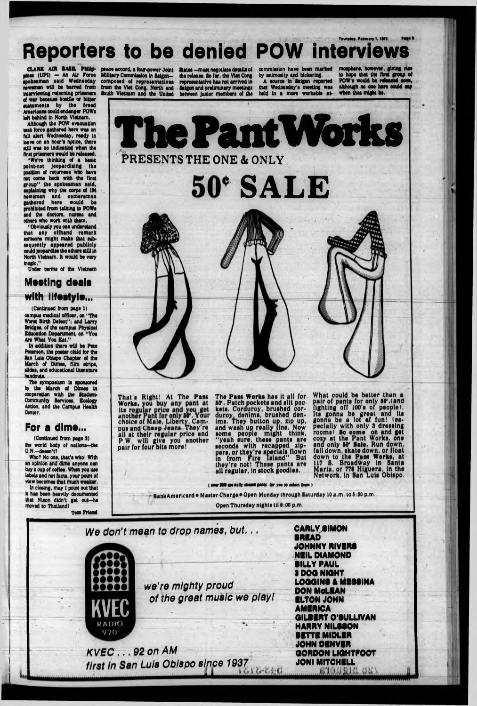### Thweday, Pobrsary 1, 1871 Page 1 **Reporters to be denied POW interviews**

**CLARK AIR BASE, Philip**pines (UPI) — An Air Force **spokesman said W ednesday** newsmen will be barred from **interviewing returning prisoners of war because hostile or bitter ststem ents by the freed Amertoans could endanger POWs** left behind in North Vietnam.

**Although the POW evacuation task force gathered here was on full alert Wednesday, ready to leave on an hour's nptlco, there** still was no indication when the **first prisoners would be released.**

**"W e're thinking of a basic polnt-not jeopardising the position of returnees who have not come back with the first** group" the spokesman said, **« plaining why the corps of IN newsmen and cam eram en gathered here would be prohibited from talking to POWs and the doctors, nurses and others who work with them.**

Who? No one, that's who! With **an opinion and dime anyone can buy a cup of coffee. When you use labels and not facts, your point of**

**"Obviously you can understand** that any offhand remark someone might make that sub-**M quently appeared publicly could jeopardise the others still in North Vietnam . It would be very tragic,"**

Under terms of the Vietnam

**(Continued from page 1)**

campus medical officer, on "The Worst Birth Defect"; and Larry **Bridges, of the campus Physical Education Department, on "You** Are What You Eat."

In addition there will be Pete **Ps ter son, the poster child for the Ban Luis Obispo Chapter of the March of Dimee, film strips, slides, and educational literature** handouta.

peace accord, a four-power Joint States --must negotiate details of commission have been marked<br>Military Commission in Salgon- the release. So far, the Viet Cong by animosity and biokering. **South Vietnam and the United between junior members of the held in a more workable at\***

**Military Commission in Saigon-** the release. So far, the Viet Cong by animosity and bickering.<br>composed of representatives representative has not arrived in A source in Saigon reported composed of representatives representative has not arrived in from the Viet Cong, North and **Saigon** and preliminary meetings from the Viet Cong, North and **Saigon and preliminary meetings that Wednesday's meeting was** 

### **Meeting deale with lifestyle.^ • •**

**The symposium is sponsored by the March of Dimes in cooperation with the Student-Community lervioee, Ecology Action, and the Campus Health Center.**

#### **For a dime...**

**(Continued from page I) the world body of nation»-tho U.N.—doesn't?**

**view becomes that much weaksr. In dosing, may I point out that It has boon heavily documented** that Nixon didn't get out-he moved to Thailand! **Tom Friend**

*v* aver \$800 spanially chosen pants for you to aclost from

We don't mean to drop names, but... **KVEC RADIO 970** we're mighty proud of the great music we play! *KVEC ...92 on AM* first in San Luis Obispo since 1937 **CARLY SIMON BRIAD JOHNNY RIVIRB NHL DIAMOND BILLY PAUL S DOG NIGHT LOGGING A MIBBINA DON MoLIAN ILTON JOHN AMBRICA GILBBRT 0 'BULLIVAN HARRY NILSBON** BTTIM IDLER **W f JOHN DBNVIR LlGl GORDON LlGHTPOOTJONI MITCH ILL**

**moaphere, however, giving rise to hope that the first group of POW's would bs released soon, although no one here oould say when that might be.**



**Thut's Right! At The Pant Works, its n anotl choice of Male, Liberty, Campus and ('heap .Jeans. They're all at their regular price and P.W. will give you another pair for four bits more!**

**The Pant Worki has it all for 50\*. Patch pockets and slit pockets. Corauroy, brushed corduroy, denims, brushed denims. They button up, zip up, and wash up really fine. Now some people might think, "yeah sure, these pants are** seconds with recapped zip**pers, or they're specials flown in from Fire Island" But they're not! These pants are all regular, in stock goodies,**

**What could be better than a R alr of pants for only BO\*.(and ghtlng off 100's of people). Its gonna be great ana Its gonna be a lot ef fun! (especially with only 3 dressing rooms). Bo come on and get cozy at the Pant Works, one ana only BP Bale. Run down, fall down, skate down, or float down to the Pant Works, at 117 S. Broadw 8. Broadway in Santa Maria, or 778 Higuera, In the Network, in San Luis Obispo.**

**B a n k A m e ric a rd • M u te r** Charge **e O pen M onday th ro u g h S a tu rd a y 10 a m . to 6 SO p m .**

**O pen T h u ra d ay n ig h ts ill S 00 p m ,**